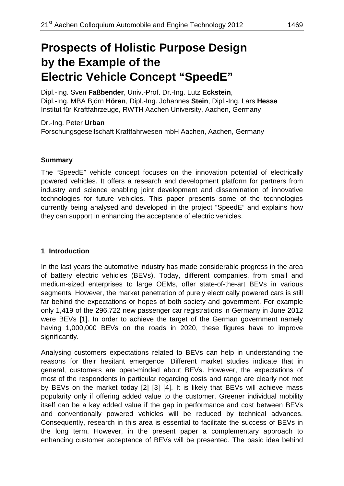# **Prospects of Holistic Purpose Design by the Example of the Electric Vehicle Concept "SpeedE"**

Dipl.-Ing. Sven **Faßbender**, Univ.-Prof. Dr.-Ing. Lutz **Eckstein**, Dipl.-Ing. MBA Björn **Hören**, Dipl.-Ing. Johannes **Stein**, Dipl.-Ing. Lars **Hesse** Institut für Kraftfahrzeuge, RWTH Aachen University, Aachen, Germany

Dr.-Ing. Peter **Urban** Forschungsgesellschaft Kraftfahrwesen mbH Aachen, Aachen, Germany

#### **Summary**

The "SpeedE" vehicle concept focuses on the innovation potential of electrically powered vehicles. It offers a research and development platform for partners from industry and science enabling joint development and dissemination of innovative technologies for future vehicles. This paper presents some of the technologies currently being analysed and developed in the project "SpeedE" and explains how they can support in enhancing the acceptance of electric vehicles.

#### **1 Introduction**

In the last years the automotive industry has made considerable progress in the area of battery electric vehicles (BEVs). Today, different companies, from small and medium-sized enterprises to large OEMs, offer state-of-the-art BEVs in various segments. However, the market penetration of purely electrically powered cars is still far behind the expectations or hopes of both society and government. For example only 1,419 of the 296,722 new passenger car registrations in Germany in June 2012 were BEVs [1]. In order to achieve the target of the German government namely having 1,000,000 BEVs on the roads in 2020, these figures have to improve significantly.

Analysing customers expectations related to BEVs can help in understanding the reasons for their hesitant emergence. Different market studies indicate that in general, customers are open-minded about BEVs. However, the expectations of most of the respondents in particular regarding costs and range are clearly not met by BEVs on the market today [2] [3] [4]. It is likely that BEVs will achieve mass popularity only if offering added value to the customer. Greener individual mobility itself can be a key added value if the gap in performance and cost between BEVs and conventionally powered vehicles will be reduced by technical advances. Consequently, research in this area is essential to facilitate the success of BEVs in the long term. However, in the present paper a complementary approach to enhancing customer acceptance of BEVs will be presented. The basic idea behind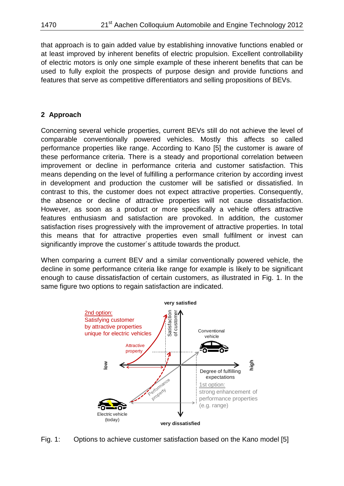that approach is to gain added value by establishing innovative functions enabled or at least improved by inherent benefits of electric propulsion. Excellent controllability of electric motors is only one simple example of these inherent benefits that can be used to fully exploit the prospects of purpose design and provide functions and features that serve as competitive differentiators and selling propositions of BEVs.

## **2 Approach**

Concerning several vehicle properties, current BEVs still do not achieve the level of comparable conventionally powered vehicles. Mostly this affects so called performance properties like range. According to Kano [5] the customer is aware of these performance criteria. There is a steady and proportional correlation between improvement or decline in performance criteria and customer satisfaction. This means depending on the level of fulfilling a performance criterion by according invest in development and production the customer will be satisfied or dissatisfied. In contrast to this, the customer does not expect attractive properties. Consequently, the absence or decline of attractive properties will not cause dissatisfaction. However, as soon as a product or more specifically a vehicle offers attractive features enthusiasm and satisfaction are provoked. In addition, the customer satisfaction rises progressively with the improvement of attractive properties. In total this means that for attractive properties even small fulfilment or invest can significantly improve the customer´s attitude towards the product.

When comparing a current BEV and a similar conventionally powered vehicle, the decline in some performance criteria like range for example is likely to be significant enough to cause dissatisfaction of certain customers, as illustrated in Fig. 1. In the same figure two options to regain satisfaction are indicated.



Fig. 1: Options to achieve customer satisfaction based on the Kano model [5]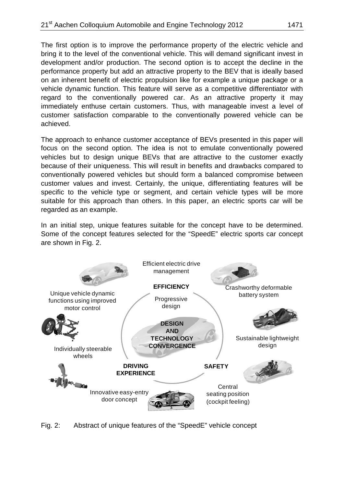The first option is to improve the performance property of the electric vehicle and bring it to the level of the conventional vehicle. This will demand significant invest in development and/or production. The second option is to accept the decline in the performance property but add an attractive property to the BEV that is ideally based on an inherent benefit of electric propulsion like for example a unique package or a vehicle dynamic function. This feature will serve as a competitive differentiator with regard to the conventionally powered car. As an attractive property it may immediately enthuse certain customers. Thus, with manageable invest a level of customer satisfaction comparable to the conventionally powered vehicle can be achieved.

The approach to enhance customer acceptance of BEVs presented in this paper will focus on the second option. The idea is not to emulate conventionally powered vehicles but to design unique BEVs that are attractive to the customer exactly because of their uniqueness. This will result in benefits and drawbacks compared to conventionally powered vehicles but should form a balanced compromise between customer values and invest. Certainly, the unique, differentiating features will be specific to the vehicle type or segment, and certain vehicle types will be more suitable for this approach than others. In this paper, an electric sports car will be regarded as an example.

In an initial step, unique features suitable for the concept have to be determined. Some of the concept features selected for the "SpeedE" electric sports car concept are shown in Fig. 2.



Fig. 2: Abstract of unique features of the "SpeedE" vehicle concept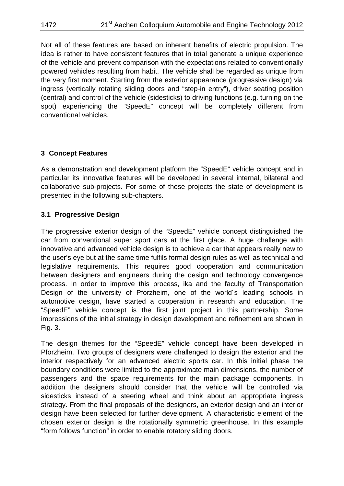Not all of these features are based on inherent benefits of electric propulsion. The idea is rather to have consistent features that in total generate a unique experience of the vehicle and prevent comparison with the expectations related to conventionally powered vehicles resulting from habit. The vehicle shall be regarded as unique from the very first moment. Starting from the exterior appearance (progressive design) via ingress (vertically rotating sliding doors and "step-in entry"), driver seating position (central) and control of the vehicle (sidesticks) to driving functions (e.g. turning on the spot) experiencing the "SpeedE" concept will be completely different from conventional vehicles.

#### **3 Concept Features**

As a demonstration and development platform the "SpeedE" vehicle concept and in particular its innovative features will be developed in several internal, bilateral and collaborative sub-projects. For some of these projects the state of development is presented in the following sub-chapters.

#### **3.1 Progressive Design**

The progressive exterior design of the "SpeedE" vehicle concept distinguished the car from conventional super sport cars at the first glace. A huge challenge with innovative and advanced vehicle design is to achieve a car that appears really new to the user's eye but at the same time fulfils formal design rules as well as technical and legislative requirements. This requires good cooperation and communication between designers and engineers during the design and technology convergence process. In order to improve this process, ika and the faculty of Transportation Design of the university of Pforzheim, one of the world´s leading schools in automotive design, have started a cooperation in research and education. The "SpeedE" vehicle concept is the first joint project in this partnership. Some impressions of the initial strategy in design development and refinement are shown in Fig. 3.

The design themes for the "SpeedE" vehicle concept have been developed in Pforzheim. Two groups of designers were challenged to design the exterior and the interior respectively for an advanced electric sports car. In this initial phase the boundary conditions were limited to the approximate main dimensions, the number of passengers and the space requirements for the main package components. In addition the designers should consider that the vehicle will be controlled via sidesticks instead of a steering wheel and think about an appropriate ingress strategy. From the final proposals of the designers, an exterior design and an interior design have been selected for further development. A characteristic element of the chosen exterior design is the rotationally symmetric greenhouse. In this example "form follows function" in order to enable rotatory sliding doors.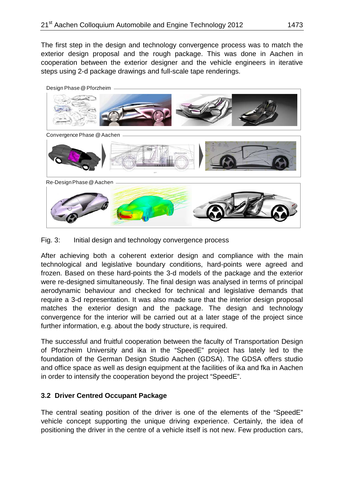The first step in the design and technology convergence process was to match the exterior design proposal and the rough package. This was done in Aachen in cooperation between the exterior designer and the vehicle engineers in iterative steps using 2-d package drawings and full-scale tape renderings.



Fig. 3: Initial design and technology convergence process

After achieving both a coherent exterior design and compliance with the main technological and legislative boundary conditions, hard-points were agreed and frozen. Based on these hard-points the 3-d models of the package and the exterior were re-designed simultaneously. The final design was analysed in terms of principal aerodynamic behaviour and checked for technical and legislative demands that require a 3-d representation. It was also made sure that the interior design proposal matches the exterior design and the package. The design and technology convergence for the interior will be carried out at a later stage of the project since further information, e.g. about the body structure, is required.

The successful and fruitful cooperation between the faculty of Transportation Design of Pforzheim University and ika in the "SpeedE" project has lately led to the foundation of the German Design Studio Aachen (GDSA). The GDSA offers studio and office space as well as design equipment at the facilities of ika and fka in Aachen in order to intensify the cooperation beyond the project "SpeedE".

#### **3.2 Driver Centred Occupant Package**

The central seating position of the driver is one of the elements of the "SpeedE" vehicle concept supporting the unique driving experience. Certainly, the idea of positioning the driver in the centre of a vehicle itself is not new. Few production cars,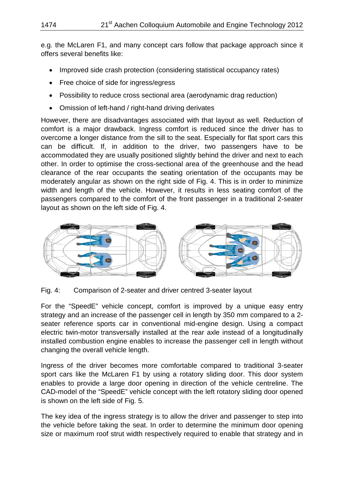e.g. the McLaren F1, and many concept cars follow that package approach since it offers several benefits like:

- Improved side crash protection (considering statistical occupancy rates)
- Free choice of side for ingress/egress
- Possibility to reduce cross sectional area (aerodynamic drag reduction)
- Omission of left-hand / right-hand driving derivates

However, there are disadvantages associated with that layout as well. Reduction of comfort is a major drawback. Ingress comfort is reduced since the driver has to overcome a longer distance from the sill to the seat. Especially for flat sport cars this can be difficult. If, in addition to the driver, two passengers have to be accommodated they are usually positioned slightly behind the driver and next to each other. In order to optimise the cross-sectional area of the greenhouse and the head clearance of the rear occupants the seating orientation of the occupants may be moderately angular as shown on the right side of Fig. 4. This is in order to minimize width and length of the vehicle. However, it results in less seating comfort of the passengers compared to the comfort of the front passenger in a traditional 2-seater layout as shown on the left side of Fig. 4.



Fig. 4: Comparison of 2-seater and driver centred 3-seater layout

For the "SpeedE" vehicle concept, comfort is improved by a unique easy entry strategy and an increase of the passenger cell in length by 350 mm compared to a 2 seater reference sports car in conventional mid-engine design. Using a compact electric twin-motor transversally installed at the rear axle instead of a longitudinally installed combustion engine enables to increase the passenger cell in length without changing the overall vehicle length.

Ingress of the driver becomes more comfortable compared to traditional 3-seater sport cars like the McLaren F1 by using a rotatory sliding door. This door system enables to provide a large door opening in direction of the vehicle centreline. The CAD-model of the "SpeedE" vehicle concept with the left rotatory sliding door opened is shown on the left side of Fig. 5.

The key idea of the ingress strategy is to allow the driver and passenger to step into the vehicle before taking the seat. In order to determine the minimum door opening size or maximum roof strut width respectively required to enable that strategy and in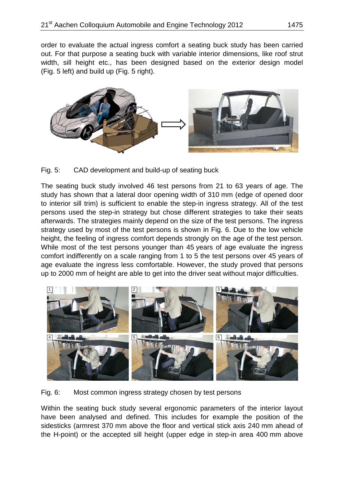order to evaluate the actual ingress comfort a seating buck study has been carried out. For that purpose a seating buck with variable interior dimensions, like roof strut width, sill height etc., has been designed based on the exterior design model (Fig. 5 left) and build up (Fig. 5 right).





The seating buck study involved 46 test persons from 21 to 63 years of age. The study has shown that a lateral door opening width of 310 mm (edge of opened door to interior sill trim) is sufficient to enable the step-in ingress strategy. All of the test persons used the step-in strategy but chose different strategies to take their seats afterwards. The strategies mainly depend on the size of the test persons. The ingress strategy used by most of the test persons is shown in Fig. 6. Due to the low vehicle height, the feeling of ingress comfort depends strongly on the age of the test person. While most of the test persons younger than 45 years of age evaluate the ingress comfort indifferently on a scale ranging from 1 to 5 the test persons over 45 years of age evaluate the ingress less comfortable. However, the study proved that persons up to 2000 mm of height are able to get into the driver seat without major difficulties.



Fig. 6: Most common ingress strategy chosen by test persons

Within the seating buck study several ergonomic parameters of the interior layout have been analysed and defined. This includes for example the position of the sidesticks (armrest 370 mm above the floor and vertical stick axis 240 mm ahead of the H-point) or the accepted sill height (upper edge in step-in area 400 mm above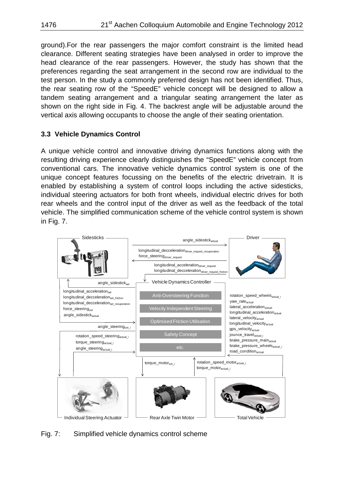ground).For the rear passengers the major comfort constraint is the limited head clearance. Different seating strategies have been analysed in order to improve the head clearance of the rear passengers. However, the study has shown that the preferences regarding the seat arrangement in the second row are individual to the test person. In the study a commonly preferred design has not been identified. Thus, the rear seating row of the "SpeedE" vehicle concept will be designed to allow a tandem seating arrangement and a triangular seating arrangement the later as shown on the right side in Fig. 4. The backrest angle will be adjustable around the vertical axis allowing occupants to choose the angle of their seating orientation.

### **3.3 Vehicle Dynamics Control**

A unique vehicle control and innovative driving dynamics functions along with the resulting driving experience clearly distinguishes the "SpeedE" vehicle concept from conventional cars. The innovative vehicle dynamics control system is one of the unique concept features focussing on the benefits of the electric drivetrain. It is enabled by establishing a system of control loops including the active sidesticks, individual steering actuators for both front wheels, individual electric drives for both rear wheels and the control input of the driver as well as the feedback of the total vehicle. The simplified communication scheme of the vehicle control system is shown in Fig. 7.



Fig. 7: Simplified vehicle dynamics control scheme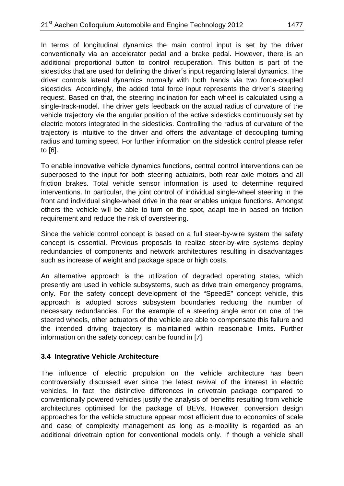In terms of longitudinal dynamics the main control input is set by the driver conventionally via an accelerator pedal and a brake pedal. However, there is an additional proportional button to control recuperation. This button is part of the sidesticks that are used for defining the driver´s input regarding lateral dynamics. The driver controls lateral dynamics normally with both hands via two force-coupled sidesticks. Accordingly, the added total force input represents the driver´s steering request. Based on that, the steering inclination for each wheel is calculated using a single-track-model. The driver gets feedback on the actual radius of curvature of the vehicle trajectory via the angular position of the active sidesticks continuously set by electric motors integrated in the sidesticks. Controlling the radius of curvature of the trajectory is intuitive to the driver and offers the advantage of decoupling turning radius and turning speed. For further information on the sidestick control please refer to [6].

To enable innovative vehicle dynamics functions, central control interventions can be superposed to the input for both steering actuators, both rear axle motors and all friction brakes. Total vehicle sensor information is used to determine required interventions. In particular, the joint control of individual single-wheel steering in the front and individual single-wheel drive in the rear enables unique functions. Amongst others the vehicle will be able to turn on the spot, adapt toe-in based on friction requirement and reduce the risk of oversteering.

Since the vehicle control concept is based on a full steer-by-wire system the safety concept is essential. Previous proposals to realize steer-by-wire systems deploy redundancies of components and network architectures resulting in disadvantages such as increase of weight and package space or high costs.

An alternative approach is the utilization of degraded operating states, which presently are used in vehicle subsystems, such as drive train emergency programs, only. For the safety concept development of the "SpeedE" concept vehicle, this approach is adopted across subsystem boundaries reducing the number of necessary redundancies. For the example of a steering angle error on one of the steered wheels, other actuators of the vehicle are able to compensate this failure and the intended driving trajectory is maintained within reasonable limits. Further information on the safety concept can be found in [7].

#### **3.4 Integrative Vehicle Architecture**

The influence of electric propulsion on the vehicle architecture has been controversially discussed ever since the latest revival of the interest in electric vehicles. In fact, the distinctive differences in drivetrain package compared to conventionally powered vehicles justify the analysis of benefits resulting from vehicle architectures optimised for the package of BEVs. However, conversion design approaches for the vehicle structure appear most efficient due to economics of scale and ease of complexity management as long as e-mobility is regarded as an additional drivetrain option for conventional models only. If though a vehicle shall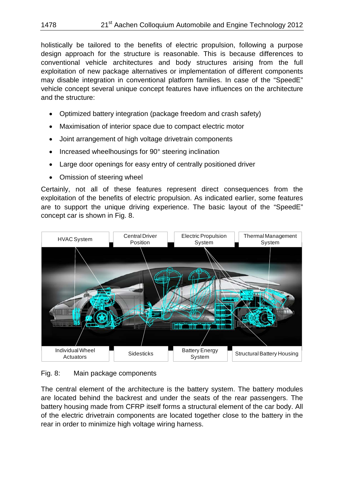holistically be tailored to the benefits of electric propulsion, following a purpose design approach for the structure is reasonable. This is because differences to conventional vehicle architectures and body structures arising from the full exploitation of new package alternatives or implementation of different components may disable integration in conventional platform families. In case of the "SpeedE" vehicle concept several unique concept features have influences on the architecture and the structure:

- Optimized battery integration (package freedom and crash safety)
- Maximisation of interior space due to compact electric motor
- Joint arrangement of high voltage drivetrain components
- Increased wheelhousings for 90° steering inclination
- Large door openings for easy entry of centrally positioned driver
- Omission of steering wheel

Certainly, not all of these features represent direct consequences from the exploitation of the benefits of electric propulsion. As indicated earlier, some features are to support the unique driving experience. The basic layout of the "SpeedE" concept car is shown in Fig. 8.



#### Fig. 8: Main package components

The central element of the architecture is the battery system. The battery modules are located behind the backrest and under the seats of the rear passengers. The battery housing made from CFRP itself forms a structural element of the car body. All of the electric drivetrain components are located together close to the battery in the rear in order to minimize high voltage wiring harness.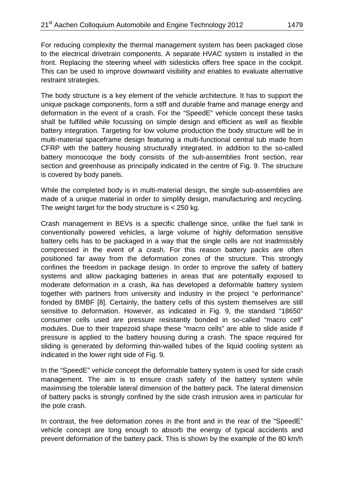For reducing complexity the thermal management system has been packaged close to the electrical drivetrain components. A separate HVAC system is installed in the front. Replacing the steering wheel with sidesticks offers free space in the cockpit. This can be used to improve downward visibility and enables to evaluate alternative restraint strategies.

The body structure is a key element of the vehicle architecture. It has to support the unique package components, form a stiff and durable frame and manage energy and deformation in the event of a crash. For the "SpeedE" vehicle concept these tasks shall be fulfilled while focussing on simple design and efficient as well as flexible battery integration. Targeting for low volume production the body structure will be in multi-material spaceframe design featuring a multi-functional central tub made from CFRP with the battery housing structurally integrated. In addition to the so-called battery monocoque the body consists of the sub-assemblies front section, rear section and greenhouse as principally indicated in the centre of Fig. 9. The structure is covered by body panels.

While the completed body is in multi-material design, the single sub-assemblies are made of a unique material in order to simplify design, manufacturing and recycling. The weight target for the body structure is < 250 kg.

Crash management in BEVs is a specific challenge since, unlike the fuel tank in conventionally powered vehicles, a large volume of highly deformation sensitive battery cells has to be packaged in a way that the single cells are not inadmissibly compressed in the event of a crash. For this reason battery packs are often positioned far away from the deformation zones of the structure. This strongly confines the freedom in package design. In order to improve the safety of battery systems and allow packaging batteries in areas that are potentially exposed to moderate deformation in a crash, ika has developed a deformable battery system together with partners from university and industry in the project "e performance" fonded by BMBF [8]. Certainly, the battery cells of this system themselves are still sensitive to deformation. However, as indicated in Fig. 9, the standard "18650" consumer cells used are pressure resistantly bonded in so-called "macro cell" modules. Due to their trapezoid shape these "macro cells" are able to slide aside if pressure is applied to the battery housing during a crash. The space required for sliding is generated by deforming thin-walled tubes of the liquid cooling system as indicated in the lower right side of Fig. 9.

In the "SpeedE" vehicle concept the deformable battery system is used for side crash management. The aim is to ensure crash safety of the battery system while maximising the tolerable lateral dimension of the battery pack. The lateral dimension of battery packs is strongly confined by the side crash intrusion area in particular for the pole crash.

In contrast, the free deformation zones in the front and in the rear of the "SpeedE" vehicle concept are long enough to absorb the energy of typical accidents and prevent deformation of the battery pack. This is shown by the example of the 80 km/h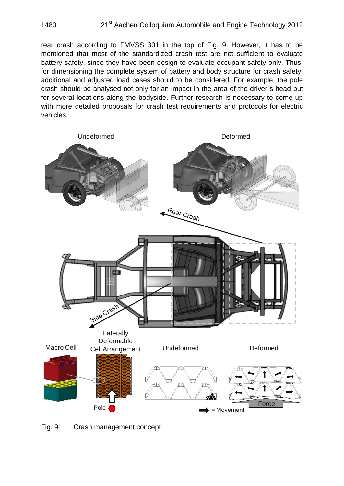rear crash according to FMVSS 301 in the top of Fig. 9. However, it has to be mentioned that most of the standardized crash test are not sufficient to evaluate battery safety, since they have been design to evaluate occupant safety only. Thus, for dimensioning the complete system of battery and body structure for crash safety, additional and adjusted load cases should to be considered. For example, the pole crash should be analysed not only for an impact in the area of the driver´s head but for several locations along the bodyside. Further research is necessary to come up with more detailed proposals for crash test requirements and protocols for electric vehicles.



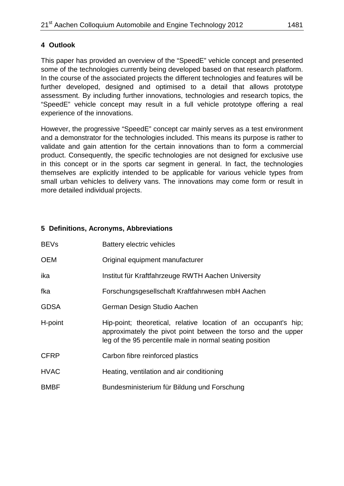This paper has provided an overview of the "SpeedE" vehicle concept and presented some of the technologies currently being developed based on that research platform. In the course of the associated projects the different technologies and features will be further developed, designed and optimised to a detail that allows prototype assessment. By including further innovations, technologies and research topics, the "SpeedE" vehicle concept may result in a full vehicle prototype offering a real experience of the innovations.

However, the progressive "SpeedE" concept car mainly serves as a test environment and a demonstrator for the technologies included. This means its purpose is rather to validate and gain attention for the certain innovations than to form a commercial product. Consequently, the specific technologies are not designed for exclusive use in this concept or in the sports car segment in general. In fact, the technologies themselves are explicitly intended to be applicable for various vehicle types from small urban vehicles to delivery vans. The innovations may come form or result in more detailed individual projects.

#### **5 Definitions, Acronyms, Abbreviations**

| <b>BEVs</b> | <b>Battery electric vehicles</b>                                                                                                                                                             |
|-------------|----------------------------------------------------------------------------------------------------------------------------------------------------------------------------------------------|
| <b>OEM</b>  | Original equipment manufacturer                                                                                                                                                              |
| ika         | Institut für Kraftfahrzeuge RWTH Aachen University                                                                                                                                           |
| fka         | Forschungsgesellschaft Kraftfahrwesen mbH Aachen                                                                                                                                             |
| <b>GDSA</b> | German Design Studio Aachen                                                                                                                                                                  |
| H-point     | Hip-point; theoretical, relative location of an occupant's hip;<br>approximately the pivot point between the torso and the upper<br>leg of the 95 percentile male in normal seating position |
| <b>CFRP</b> | Carbon fibre reinforced plastics                                                                                                                                                             |
| <b>HVAC</b> | Heating, ventilation and air conditioning                                                                                                                                                    |
| <b>BMBF</b> | Bundesministerium für Bildung und Forschung                                                                                                                                                  |